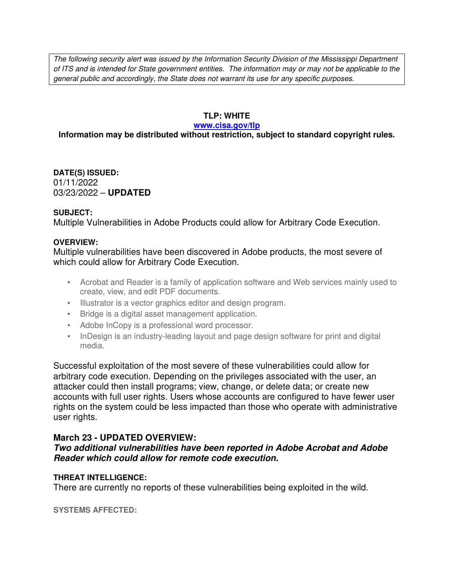The following security alert was issued by the Information Security Division of the Mississippi Department of ITS and is intended for State government entities. The information may or may not be applicable to the general public and accordingly, the State does not warrant its use for any specific purposes.

#### **TLP: WHITE**

#### **www.cisa.gov/tlp**

## **Information may be distributed without restriction, subject to standard copyright rules.**

**DATE(S) ISSUED:** 01/11/2022 03/23/2022 – **UPDATED**

#### **SUBJECT:**

Multiple Vulnerabilities in Adobe Products could allow for Arbitrary Code Execution.

#### **OVERVIEW:**

Multiple vulnerabilities have been discovered in Adobe products, the most severe of which could allow for Arbitrary Code Execution.

- Acrobat and Reader is a family of application software and Web services mainly used to create, view, and edit PDF documents.
- Illustrator is a vector graphics editor and design program.
- Bridge is a digital asset management application.
- Adobe InCopy is a professional word processor.
- InDesign is an industry-leading layout and page design software for print and digital media.

Successful exploitation of the most severe of these vulnerabilities could allow for arbitrary code execution. Depending on the privileges associated with the user, an attacker could then install programs; view, change, or delete data; or create new accounts with full user rights. Users whose accounts are configured to have fewer user rights on the system could be less impacted than those who operate with administrative user rights.

## **March 23 - UPDATED OVERVIEW:**

**Two additional vulnerabilities have been reported in Adobe Acrobat and Adobe Reader which could allow for remote code execution.**

## **THREAT INTELLIGENCE:**

There are currently no reports of these vulnerabilities being exploited in the wild.

**SYSTEMS AFFECTED:**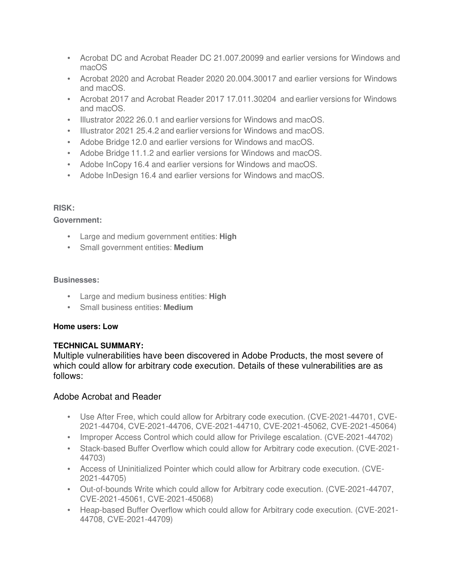- Acrobat DC and Acrobat Reader DC 21.007.20099 and earlier versions for Windows and macOS
- Acrobat 2020 and Acrobat Reader 2020 20.004.30017 and earlier versions for Windows and macOS.
- Acrobat 2017 and Acrobat Reader 2017 17.011.30204 and earlier versions for Windows and macOS.
- Illustrator 2022 26.0.1 and earlier versions for Windows and macOS.
- Illustrator 2021 25.4.2 and earlier versions for Windows and macOS.
- Adobe Bridge 12.0 and earlier versions for Windows and macOS.
- Adobe Bridge 11.1.2 and earlier versions for Windows and macOS.
- Adobe InCopy 16.4 and earlier versions for Windows and macOS.
- Adobe InDesign 16.4 and earlier versions for Windows and macOS.

## **RISK:**

#### **Government:**

- Large and medium government entities: **High**
- Small government entities: **Medium**

#### **Businesses:**

- Large and medium business entities: **High**
- Small business entities: **Medium**

#### **Home users: Low**

## **TECHNICAL SUMMARY:**

Multiple vulnerabilities have been discovered in Adobe Products, the most severe of which could allow for arbitrary code execution. Details of these vulnerabilities are as follows:

## Adobe Acrobat and Reader

- Use After Free, which could allow for Arbitrary code execution. (CVE-2021-44701, CVE-2021-44704, CVE-2021-44706, CVE-2021-44710, CVE-2021-45062, CVE-2021-45064)
- Improper Access Control which could allow for Privilege escalation. (CVE-2021-44702)
- Stack-based Buffer Overflow which could allow for Arbitrary code execution. (CVE-2021- 44703)
- Access of Uninitialized Pointer which could allow for Arbitrary code execution. (CVE-2021-44705)
- Out-of-bounds Write which could allow for Arbitrary code execution. (CVE-2021-44707, CVE-2021-45061, CVE-2021-45068)
- Heap-based Buffer Overflow which could allow for Arbitrary code execution. (CVE-2021- 44708, CVE-2021-44709)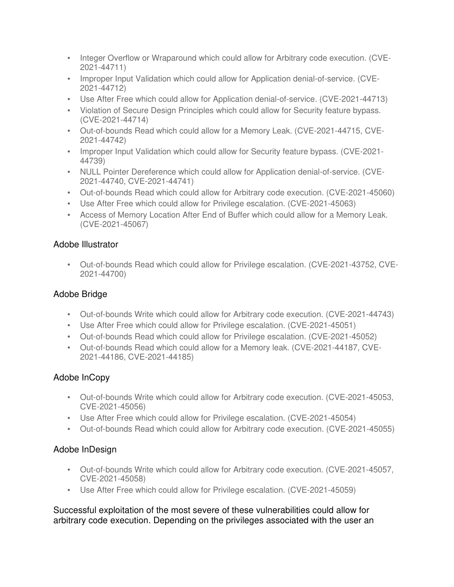- Integer Overflow or Wraparound which could allow for Arbitrary code execution. (CVE-2021-44711)
- Improper Input Validation which could allow for Application denial-of-service. (CVE-2021-44712)
- Use After Free which could allow for Application denial-of-service. (CVE-2021-44713)
- Violation of Secure Design Principles which could allow for Security feature bypass. (CVE-2021-44714)
- Out-of-bounds Read which could allow for a Memory Leak. (CVE-2021-44715, CVE-2021-44742)
- Improper Input Validation which could allow for Security feature bypass. (CVE-2021-44739)
- NULL Pointer Dereference which could allow for Application denial-of-service. (CVE-2021-44740, CVE-2021-44741)
- Out-of-bounds Read which could allow for Arbitrary code execution. (CVE-2021-45060)
- Use After Free which could allow for Privilege escalation. (CVE-2021-45063)
- Access of Memory Location After End of Buffer which could allow for a Memory Leak. (CVE-2021-45067)

## Adobe Illustrator

• Out-of-bounds Read which could allow for Privilege escalation. (CVE-2021-43752, CVE-2021-44700)

## Adobe Bridge

- Out-of-bounds Write which could allow for Arbitrary code execution. (CVE-2021-44743)
- Use After Free which could allow for Privilege escalation. (CVE-2021-45051)
- Out-of-bounds Read which could allow for Privilege escalation. (CVE-2021-45052)
- Out-of-bounds Read which could allow for a Memory leak. (CVE-2021-44187, CVE-2021-44186, CVE-2021-44185)

# Adobe InCopy

- Out-of-bounds Write which could allow for Arbitrary code execution. (CVE-2021-45053, CVE-2021-45056)
- Use After Free which could allow for Privilege escalation. (CVE-2021-45054)
- Out-of-bounds Read which could allow for Arbitrary code execution. (CVE-2021-45055)

# Adobe InDesign

- Out-of-bounds Write which could allow for Arbitrary code execution. (CVE-2021-45057, CVE-2021-45058)
- Use After Free which could allow for Privilege escalation. (CVE-2021-45059)

Successful exploitation of the most severe of these vulnerabilities could allow for arbitrary code execution. Depending on the privileges associated with the user an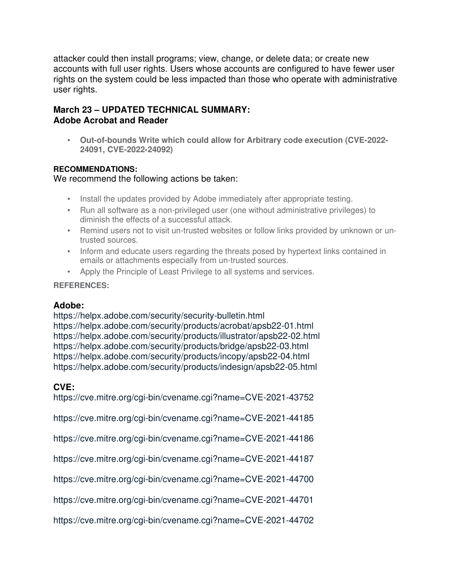attacker could then install programs; view, change, or delete data; or create new accounts with full user rights. Users whose accounts are configured to have fewer user rights on the system could be less impacted than those who operate with administrative user rights.

# **March 23 – UPDATED TECHNICAL SUMMARY: Adobe Acrobat and Reader**

• **Out-of-bounds Write which could allow for Arbitrary code execution (CVE-2022- 24091, CVE-2022-24092)**

## **RECOMMENDATIONS:**

We recommend the following actions be taken:

- Install the updates provided by Adobe immediately after appropriate testing.
- Run all software as a non-privileged user (one without administrative privileges) to diminish the effects of a successful attack.
- Remind users not to visit un-trusted websites or follow links provided by unknown or untrusted sources.
- Inform and educate users regarding the threats posed by hypertext links contained in emails or attachments especially from un-trusted sources.
- Apply the Principle of Least Privilege to all systems and services.

## **REFERENCES:**

# **Adobe:**

https://helpx.adobe.com/security/security-bulletin.html https://helpx.adobe.com/security/products/acrobat/apsb22-01.html https://helpx.adobe.com/security/products/illustrator/apsb22-02.html https://helpx.adobe.com/security/products/bridge/apsb22-03.html https://helpx.adobe.com/security/products/incopy/apsb22-04.html https://helpx.adobe.com/security/products/indesign/apsb22-05.html

# **CVE:**

https://cve.mitre.org/cgi-bin/cvename.cgi?name=CVE-2021-43752

https://cve.mitre.org/cgi-bin/cvename.cgi?name=CVE-2021-44185

https://cve.mitre.org/cgi-bin/cvename.cgi?name=CVE-2021-44186

https://cve.mitre.org/cgi-bin/cvename.cgi?name=CVE-2021-44187

https://cve.mitre.org/cgi-bin/cvename.cgi?name=CVE-2021-44700

https://cve.mitre.org/cgi-bin/cvename.cgi?name=CVE-2021-44701

https://cve.mitre.org/cgi-bin/cvename.cgi?name=CVE-2021-44702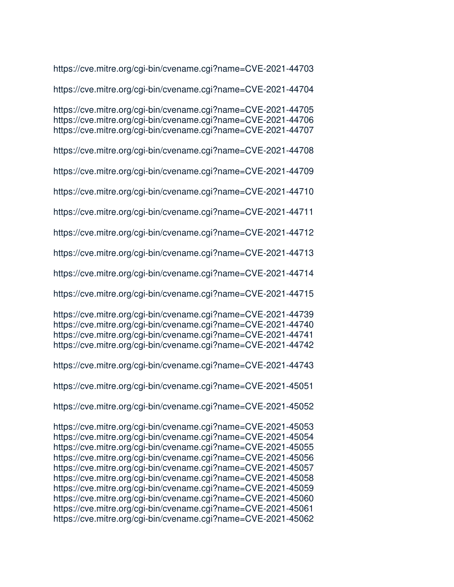https://cve.mitre.org/cgi-bin/cvename.cgi?name=CVE-2021-44703

https://cve.mitre.org/cgi-bin/cvename.cgi?name=CVE-2021-44704

https://cve.mitre.org/cgi-bin/cvename.cgi?name=CVE-2021-44705 https://cve.mitre.org/cgi-bin/cvename.cgi?name=CVE-2021-44706 https://cve.mitre.org/cgi-bin/cvename.cgi?name=CVE-2021-44707

https://cve.mitre.org/cgi-bin/cvename.cgi?name=CVE-2021-44708

https://cve.mitre.org/cgi-bin/cvename.cgi?name=CVE-2021-44709

https://cve.mitre.org/cgi-bin/cvename.cgi?name=CVE-2021-44710

https://cve.mitre.org/cgi-bin/cvename.cgi?name=CVE-2021-44711

https://cve.mitre.org/cgi-bin/cvename.cgi?name=CVE-2021-44712

https://cve.mitre.org/cgi-bin/cvename.cgi?name=CVE-2021-44713

https://cve.mitre.org/cgi-bin/cvename.cgi?name=CVE-2021-44714

https://cve.mitre.org/cgi-bin/cvename.cgi?name=CVE-2021-44715

https://cve.mitre.org/cgi-bin/cvename.cgi?name=CVE-2021-44739 https://cve.mitre.org/cgi-bin/cvename.cgi?name=CVE-2021-44740 https://cve.mitre.org/cgi-bin/cvename.cgi?name=CVE-2021-44741 https://cve.mitre.org/cgi-bin/cvename.cgi?name=CVE-2021-44742

https://cve.mitre.org/cgi-bin/cvename.cgi?name=CVE-2021-44743

https://cve.mitre.org/cgi-bin/cvename.cgi?name=CVE-2021-45051

https://cve.mitre.org/cgi-bin/cvename.cgi?name=CVE-2021-45052

https://cve.mitre.org/cgi-bin/cvename.cgi?name=CVE-2021-45053 https://cve.mitre.org/cgi-bin/cvename.cgi?name=CVE-2021-45054 https://cve.mitre.org/cgi-bin/cvename.cgi?name=CVE-2021-45055 https://cve.mitre.org/cgi-bin/cvename.cgi?name=CVE-2021-45056 https://cve.mitre.org/cgi-bin/cvename.cgi?name=CVE-2021-45057 https://cve.mitre.org/cgi-bin/cvename.cgi?name=CVE-2021-45058 https://cve.mitre.org/cgi-bin/cvename.cgi?name=CVE-2021-45059 https://cve.mitre.org/cgi-bin/cvename.cgi?name=CVE-2021-45060 https://cve.mitre.org/cgi-bin/cvename.cgi?name=CVE-2021-45061 https://cve.mitre.org/cgi-bin/cvename.cgi?name=CVE-2021-45062